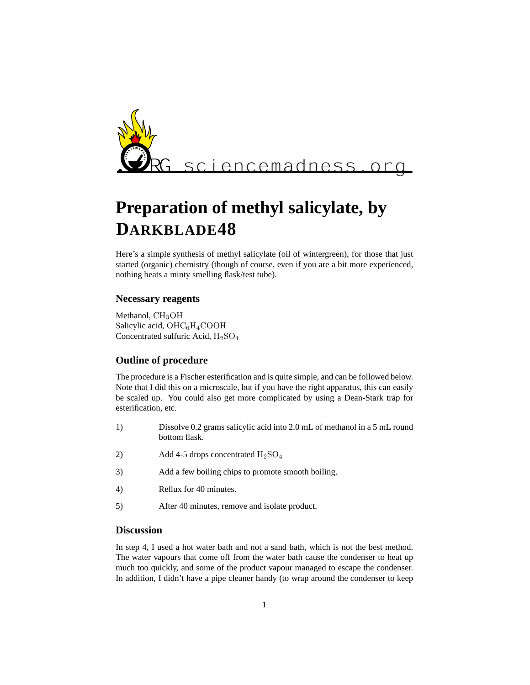

# **Preparation of methyl salicylate, by DARKBLADE48**

Here's a simple synthesis of methyl salicylate (oil of wintergreen), for those that just started (organic) chemistry (though of course, even if you are a bit more experienced, nothing beats a minty smelling flask/test tube).

### **Necessary reagents**

Methanol,  $CH<sub>3</sub>OH$ Salicylic acid,  $OHC<sub>6</sub>H<sub>4</sub>COOH$ Concentrated sulfuric Acid, H2SO<sup>4</sup>

### **Outline of procedure**

The procedure is a Fischer esterification and is quite simple, and can be followed below. Note that I did this on a microscale, but if you have the right apparatus, this can easily be scaled up. You could also get more complicated by using a Dean-Stark trap for esterification, etc.

- 1) Dissolve 0.2 grams salicylic acid into 2.0 mL of methanol in a 5 mL round bottom flask.
- 2) Add 4-5 drops concentrated  $H_2$ SO<sub>4</sub>
- 3) Add a few boiling chips to promote smooth boiling.
- 4) Reflux for 40 minutes.
- 5) After 40 minutes, remove and isolate product.

### **Discussion**

In step 4, I used a hot water bath and not a sand bath, which is not the best method. The water vapours that come off from the water bath cause the condenser to heat up much too quickly, and some of the product vapour managed to escape the condenser. In addition, I didn't have a pipe cleaner handy (to wrap around the condenser to keep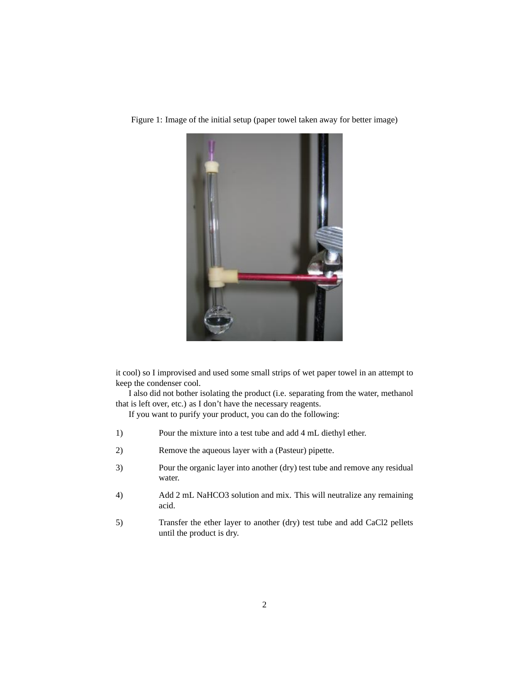

Figure 1: Image of the initial setup (paper towel taken away for better image)

it cool) so I improvised and used some small strips of wet paper towel in an attempt to keep the condenser cool.

I also did not bother isolating the product (i.e. separating from the water, methanol that is left over, etc.) as I don't have the necessary reagents.

If you want to purify your product, you can do the following:

- 1) Pour the mixture into a test tube and add 4 mL diethyl ether.
- 2) Remove the aqueous layer with a (Pasteur) pipette.
- 3) Pour the organic layer into another (dry) test tube and remove any residual water.
- 4) Add 2 mL NaHCO3 solution and mix. This will neutralize any remaining acid.
- 5) Transfer the ether layer to another (dry) test tube and add CaCl2 pellets until the product is dry.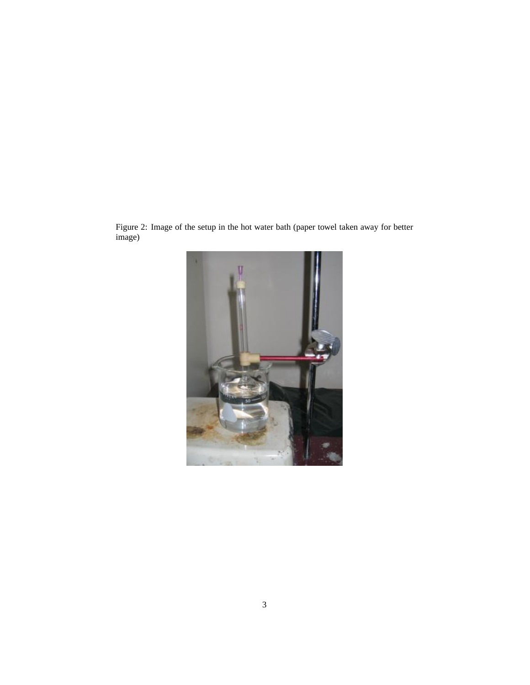Figure 2: Image of the setup in the hot water bath (paper towel taken away for better image)